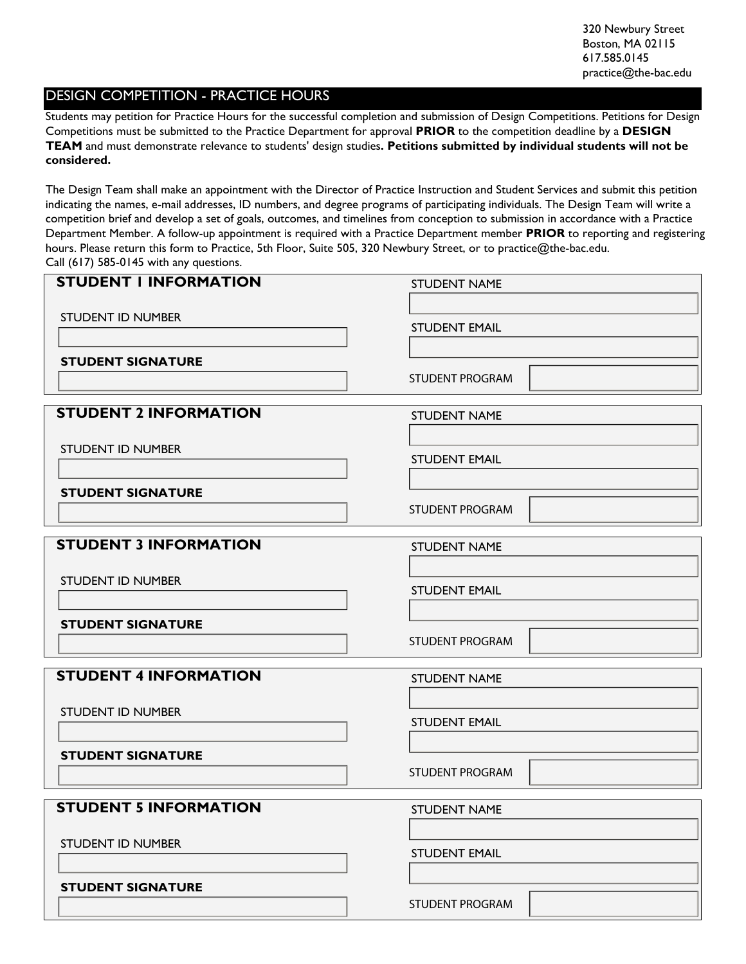# DESIGN COMPETITION - PRACTICE HOURS

Students may petition for Practice Hours for the successful completion and submission of Design Competitions. Petitions for Design Competitions must be submitted to the Practice Department for approval **PRIOR** to the competition deadline by a **DESIGN TEAM** and must demonstrate relevance to students' design studies**. Petitions submitted by individual students will not be considered.**

The Design Team shall make an appointment with the Director of Practice Instruction and Student Services and submit this petition indicating the names, e-mail addresses, ID numbers, and degree programs of participating individuals. The Design Team will write a competition brief and develop a set of goals, outcomes, and timelines from conception to submission in accordance with a Practice Department Member. A follow-up appointment is required with a Practice Department member **PRIOR** to reporting and registering hours. Please return this form to Practice, 5th Floor, Suite 505, 320 Newbury Street, or to practice@the-bac.edu. Call (617) 585-0145 with any questions.

| <b>STUDENT I INFORMATION</b> | <b>STUDENT NAME</b>                                   |  |
|------------------------------|-------------------------------------------------------|--|
|                              |                                                       |  |
| <b>STUDENT ID NUMBER</b>     | <b>STUDENT EMAIL</b>                                  |  |
| <b>STUDENT SIGNATURE</b>     |                                                       |  |
|                              | <b>STUDENT PROGRAM</b><br>$\left  \mathbf{v} \right $ |  |
| <b>STUDENT 2 INFORMATION</b> | <b>STUDENT NAME</b>                                   |  |
| <b>STUDENT ID NUMBER</b>     |                                                       |  |
|                              | <b>STUDENT EMAIL</b>                                  |  |
| <b>STUDENT SIGNATURE</b>     | $\left  \cdot \right $<br><b>STUDENT PROGRAM</b>      |  |
| <b>STUDENT 3 INFORMATION</b> | <b>STUDENT NAME</b>                                   |  |
| <b>STUDENT ID NUMBER</b>     |                                                       |  |
|                              | <b>STUDENT EMAIL</b>                                  |  |
| <b>STUDENT SIGNATURE</b>     |                                                       |  |
|                              | $\blacktriangledown$<br><b>STUDENT PROGRAM</b>        |  |
| <b>STUDENT 4 INFORMATION</b> | <b>STUDENT NAME</b>                                   |  |
| <b>STUDENT ID NUMBER</b>     |                                                       |  |
|                              | <b>STUDENT EMAIL</b>                                  |  |
| <b>STUDENT SIGNATURE</b>     |                                                       |  |
|                              | $\left  \mathbf{v} \right $<br><b>STUDENT PROGRAM</b> |  |
| <b>STUDENT 5 INFORMATION</b> | <b>STUDENT NAME</b>                                   |  |
| <b>STUDENT ID NUMBER</b>     |                                                       |  |
|                              | <b>STUDENT EMAIL</b>                                  |  |
| <b>STUDENT SIGNATURE</b>     |                                                       |  |
|                              | $\mathbf{F}$<br><b>STUDENT PROGRAM</b>                |  |